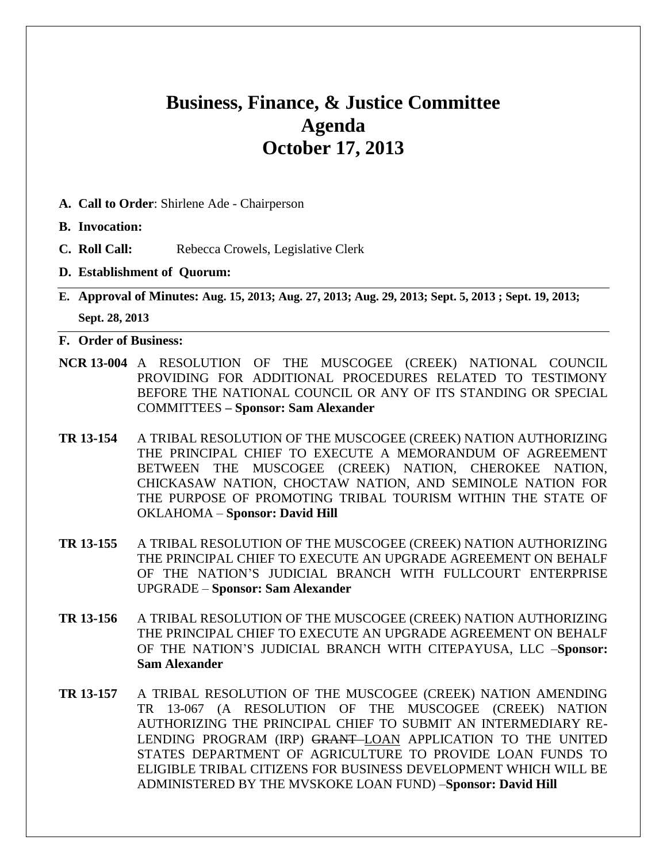# **Business, Finance, & Justice Committee Agenda October 17, 2013**

- **A. Call to Order**: Shirlene Ade Chairperson
- **B. Invocation:**
- **C. Roll Call:** Rebecca Crowels, Legislative Clerk
- **D. Establishment of Quorum:**
- **E. Approval of Minutes: Aug. 15, 2013; Aug. 27, 2013; Aug. 29, 2013; Sept. 5, 2013 ; Sept. 19, 2013; Sept. 28, 2013**
- **F. Order of Business:**
- **NCR 13-004** A RESOLUTION OF THE MUSCOGEE (CREEK) NATIONAL COUNCIL PROVIDING FOR ADDITIONAL PROCEDURES RELATED TO TESTIMONY BEFORE THE NATIONAL COUNCIL OR ANY OF ITS STANDING OR SPECIAL COMMITTEES **– Sponsor: Sam Alexander**
- **TR 13-154** A TRIBAL RESOLUTION OF THE MUSCOGEE (CREEK) NATION AUTHORIZING THE PRINCIPAL CHIEF TO EXECUTE A MEMORANDUM OF AGREEMENT BETWEEN THE MUSCOGEE (CREEK) NATION, CHEROKEE NATION, CHICKASAW NATION, CHOCTAW NATION, AND SEMINOLE NATION FOR THE PURPOSE OF PROMOTING TRIBAL TOURISM WITHIN THE STATE OF OKLAHOMA – **Sponsor: David Hill**
- **TR 13-155** A TRIBAL RESOLUTION OF THE MUSCOGEE (CREEK) NATION AUTHORIZING THE PRINCIPAL CHIEF TO EXECUTE AN UPGRADE AGREEMENT ON BEHALF OF THE NATION'S JUDICIAL BRANCH WITH FULLCOURT ENTERPRISE UPGRADE – **Sponsor: Sam Alexander**
- **TR 13-156** A TRIBAL RESOLUTION OF THE MUSCOGEE (CREEK) NATION AUTHORIZING THE PRINCIPAL CHIEF TO EXECUTE AN UPGRADE AGREEMENT ON BEHALF OF THE NATION'S JUDICIAL BRANCH WITH CITEPAYUSA, LLC –**Sponsor: Sam Alexander**
- **TR 13-157** A TRIBAL RESOLUTION OF THE MUSCOGEE (CREEK) NATION AMENDING TR 13-067 (A RESOLUTION OF THE MUSCOGEE (CREEK) NATION AUTHORIZING THE PRINCIPAL CHIEF TO SUBMIT AN INTERMEDIARY RE-LENDING PROGRAM (IRP) GRANT LOAN APPLICATION TO THE UNITED STATES DEPARTMENT OF AGRICULTURE TO PROVIDE LOAN FUNDS TO ELIGIBLE TRIBAL CITIZENS FOR BUSINESS DEVELOPMENT WHICH WILL BE ADMINISTERED BY THE MVSKOKE LOAN FUND) –**Sponsor: David Hill**